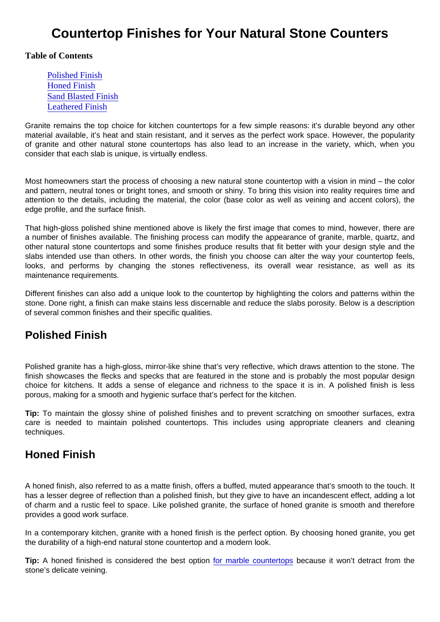# Countertop Finishes for Your Natural Stone Counters

Table of Contents

Polished Finish Honed Finish [Sand Blasted Finis](#page-1-0)h [Leathered Finis](#page-1-0)h

Granite remains the top choice for kitchen countertops for a few simple reasons: it's durable beyond any other material available, it's heat and stain resistant, and it serves as the perfect work space. However, the popularity of granite and other natural stone countertops has also lead to an increase in the variety, which, when you consider that each slab is unique, is virtually endless.

Most homeowners start the process of choosing a new natural stone countertop with a vision in mind – the color and pattern, neutral tones or bright tones, and smooth or shiny. To bring this vision into reality requires time and attention to the details, including the material, the color (base color as well as veining and accent colors), the edge profile, and the surface finish.

That high-gloss polished shine mentioned above is likely the first image that comes to mind, however, there are a number of finishes available. The finishing process can modify the appearance of granite, marble, quartz, and other natural stone countertops and some finishes produce results that fit better with your design style and the slabs intended use than others. In other words, the finish you choose can alter the way your countertop feels, looks, and performs by changing the stones reflectiveness, its overall wear resistance, as well as its maintenance requirements.

Different finishes can also add a unique look to the countertop by highlighting the colors and patterns within the stone. Done right, a finish can make stains less discernable and reduce the slabs porosity. Below is a description of several common finishes and their specific qualities.

#### Polished Finish

Polished granite has a high-gloss, mirror-like shine that's very reflective, which draws attention to the stone. The finish showcases the flecks and specks that are featured in the stone and is probably the most popular design choice for kitchens. It adds a sense of elegance and richness to the space it is in. A polished finish is less porous, making for a smooth and hygienic surface that's perfect for the kitchen.

Tip: To maintain the glossy shine of polished finishes and to prevent scratching on smoother surfaces, extra care is needed to maintain polished countertops. This includes using appropriate cleaners and cleaning techniques.

#### Honed Finish

A honed finish, also referred to as a matte finish, offers a buffed, muted appearance that's smooth to the touch. It has a lesser degree of reflection than a polished finish, but they give to have an incandescent effect, adding a lot of charm and a rustic feel to space. Like polished granite, the surface of honed granite is smooth and therefore provides a good work surface.

In a contemporary kitchen, granite with a honed finish is the perfect option. By choosing honed granite, you get the durability of a high-end natural stone countertop and a modern look.

Tip: A honed finished is considered the best option [for marble countertops](https://marble.com/marble-countertops) because it won't detract from the stone's delicate veining.